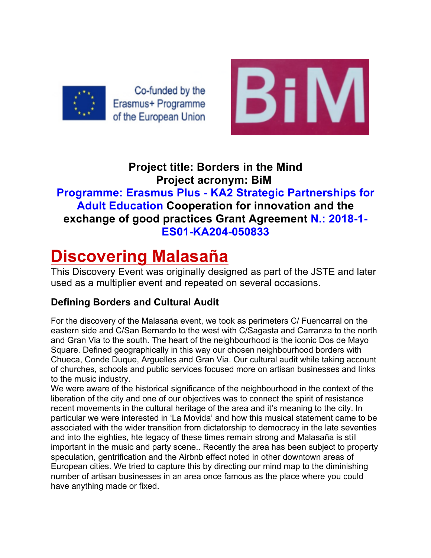

Co-funded by the Erasmus+ Programme of the European Union



# **Project title: Borders in the Mind Project acronym: BiM**

# **Programme: Erasmus Plus - KA2 Strategic Partnerships for Adult Education Cooperation for innovation and the exchange of good practices Grant Agreement N.: 2018-1- ES01-KA204-050833**

# **Discovering Malasaña**

This Discovery Event was originally designed as part of the JSTE and later used as a multiplier event and repeated on several occasions.

## **Defining Borders and Cultural Audit**

For the discovery of the Malasaña event, we took as perimeters C/ Fuencarral on the eastern side and C/San Bernardo to the west with C/Sagasta and Carranza to the north and Gran Via to the south. The heart of the neighbourhood is the iconic Dos de Mayo Square. Defined geographically in this way our chosen neighbourhood borders with Chueca, Conde Duque, Arguelles and Gran Via. Our cultural audit while taking account of churches, schools and public services focused more on artisan businesses and links to the music industry.

We were aware of the historical significance of the neighbourhood in the context of the liberation of the city and one of our objectives was to connect the spirit of resistance recent movements in the cultural heritage of the area and it's meaning to the city. In particular we were interested in 'La Movida' and how this musical statement came to be associated with the wider transition from dictatorship to democracy in the late seventies and into the eighties, hte legacy of these times remain strong and Malasaña is still important in the music and party scene.. Recently the area has been subject to property speculation, gentrification and the Airbnb effect noted in other downtown areas of European cities. We tried to capture this by directing our mind map to the diminishing number of artisan businesses in an area once famous as the place where you could have anything made or fixed.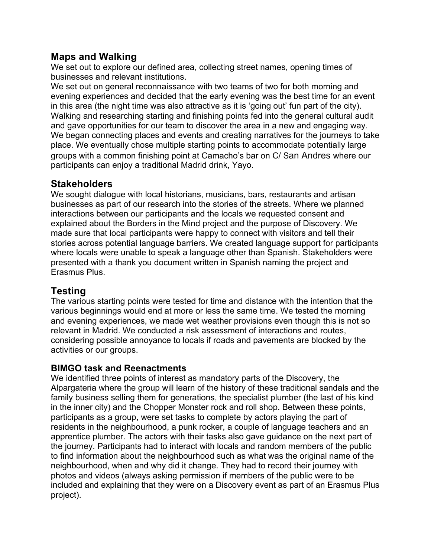### **Maps and Walking**

We set out to explore our defined area, collecting street names, opening times of businesses and relevant institutions.

We set out on general reconnaissance with two teams of two for both morning and evening experiences and decided that the early evening was the best time for an event in this area (the night time was also attractive as it is 'going out' fun part of the city). Walking and researching starting and finishing points fed into the general cultural audit and gave opportunities for our team to discover the area in a new and engaging way. We began connecting places and events and creating narratives for the journeys to take place. We eventually chose multiple starting points to accommodate potentially large groups with a common finishing point at Camacho's bar on C/ San Andres where our participants can enjoy a traditional Madrid drink, Yayo.

#### **Stakeholders**

We sought dialogue with local historians, musicians, bars, restaurants and artisan businesses as part of our research into the stories of the streets. Where we planned interactions between our participants and the locals we requested consent and explained about the Borders in the Mind project and the purpose of Discovery. We made sure that local participants were happy to connect with visitors and tell their stories across potential language barriers. We created language support for participants where locals were unable to speak a language other than Spanish. Stakeholders were presented with a thank you document written in Spanish naming the project and Erasmus Plus.

## **Testing**

The various starting points were tested for time and distance with the intention that the various beginnings would end at more or less the same time. We tested the morning and evening experiences, we made wet weather provisions even though this is not so relevant in Madrid. We conducted a risk assessment of interactions and routes, considering possible annoyance to locals if roads and pavements are blocked by the activities or our groups.

#### **BIMGO task and Reenactments**

We identified three points of interest as mandatory parts of the Discovery, the Alpargateria where the group will learn of the history of these traditional sandals and the family business selling them for generations, the specialist plumber (the last of his kind in the inner city) and the Chopper Monster rock and roll shop. Between these points, participants as a group, were set tasks to complete by actors playing the part of residents in the neighbourhood, a punk rocker, a couple of language teachers and an apprentice plumber. The actors with their tasks also gave guidance on the next part of the journey. Participants had to interact with locals and random members of the public to find information about the neighbourhood such as what was the original name of the neighbourhood, when and why did it change. They had to record their journey with photos and videos (always asking permission if members of the public were to be included and explaining that they were on a Discovery event as part of an Erasmus Plus project).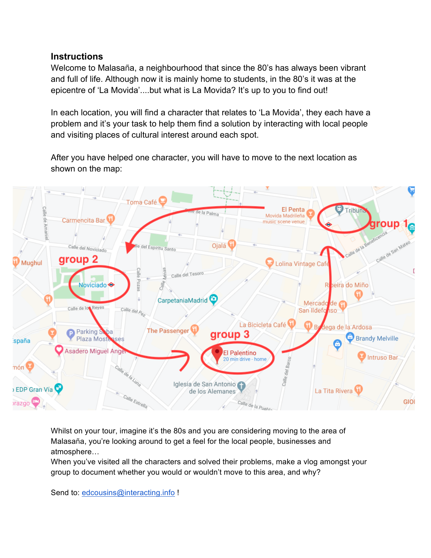#### **Instructions**

Welcome to Malasaña, a neighbourhood that since the 80's has always been vibrant and full of life. Although now it is mainly home to students, in the 80's it was at the epicentre of 'La Movida'....but what is La Movida? It's up to you to find out!

In each location, you will find a character that relates to 'La Movida', they each have a problem and it's your task to help them find a solution by interacting with local people and visiting places of cultural interest around each spot.

After you have helped one character, you will have to move to the next location as shown on the map:



Whilst on your tour, imagine it's the 80s and you are considering moving to the area of Malasaña, you're looking around to get a feel for the local people, businesses and atmosphere…

When you've visited all the characters and solved their problems, make a vlog amongst your group to document whether you would or wouldn't move to this area, and why?

Send to: edcousins@interacting.info !